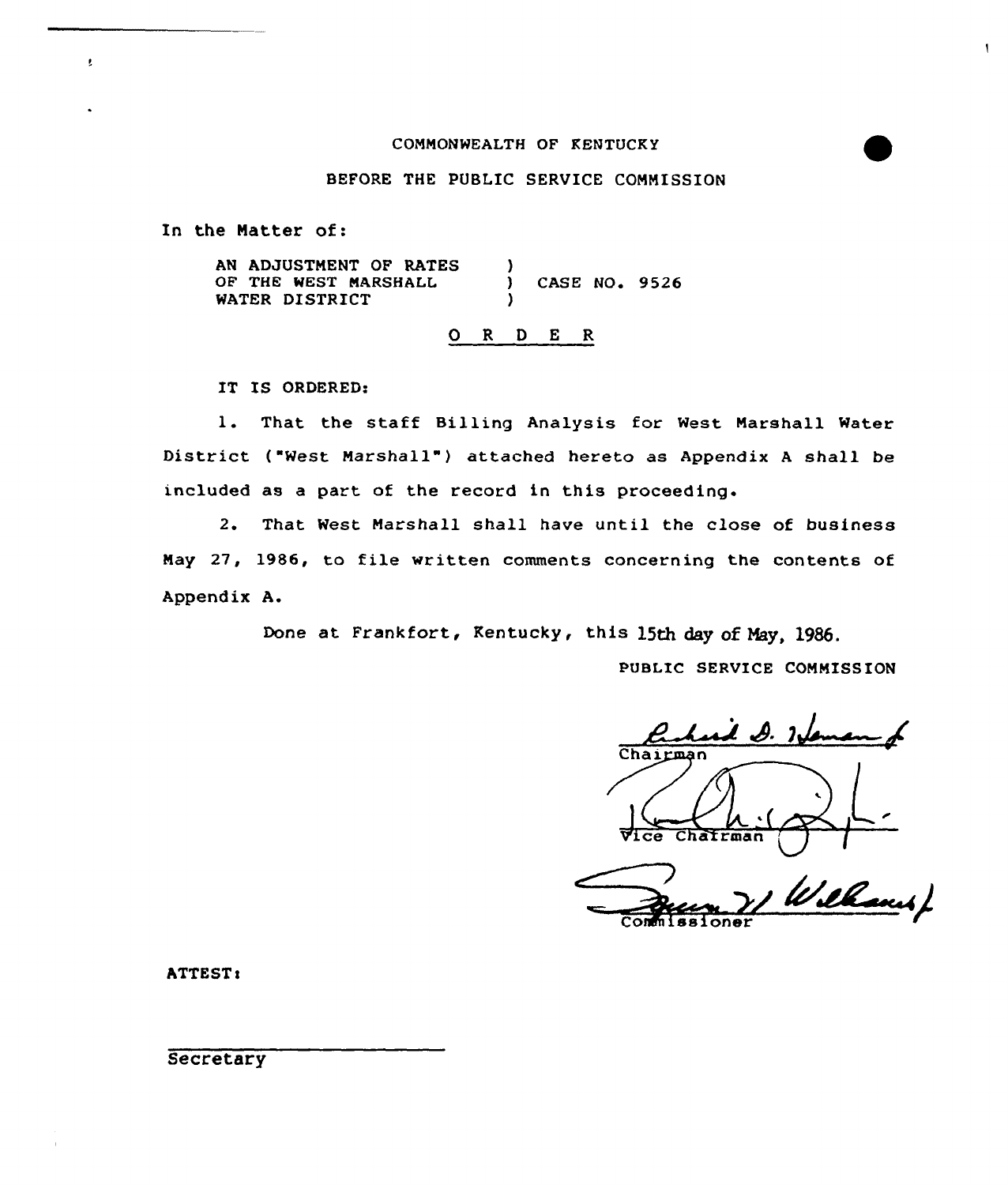## CONNONWEALTH OF KENTUCKY

#### BEFORE THE PUBLIC SERVICE CONNISSION

In the Natter of:

ţ.

AN ADJUSTNENT OF RATES OF THE WEST MARSHALL WATER DISTRICT ) CASE NO. 9526 )

# 0 <sup>R</sup> <sup>D</sup> <sup>E</sup> <sup>R</sup>

IT IS ORDERED:

1. That the staff Billing Analysis for West Narshall Mater District ("West Marshall") attached hereto as Appendix <sup>A</sup> shall be included as a part of the record in this proceeding.

2. That West Marshall shall have until the close of business Nay 27, 1986, to file written comments concerning the contents of Appendix A.

Done at Frankfort, Kentucky, this 15th day of Nay, 1986.

PUBLIC SERVICE COMMISSION

 $\mathbf{I}$ 

 $\lambda$   $\beta$ . Inform Chairman Chairman

Wilbaus/ Commissioner

**ATTEST:** 

**Secretary**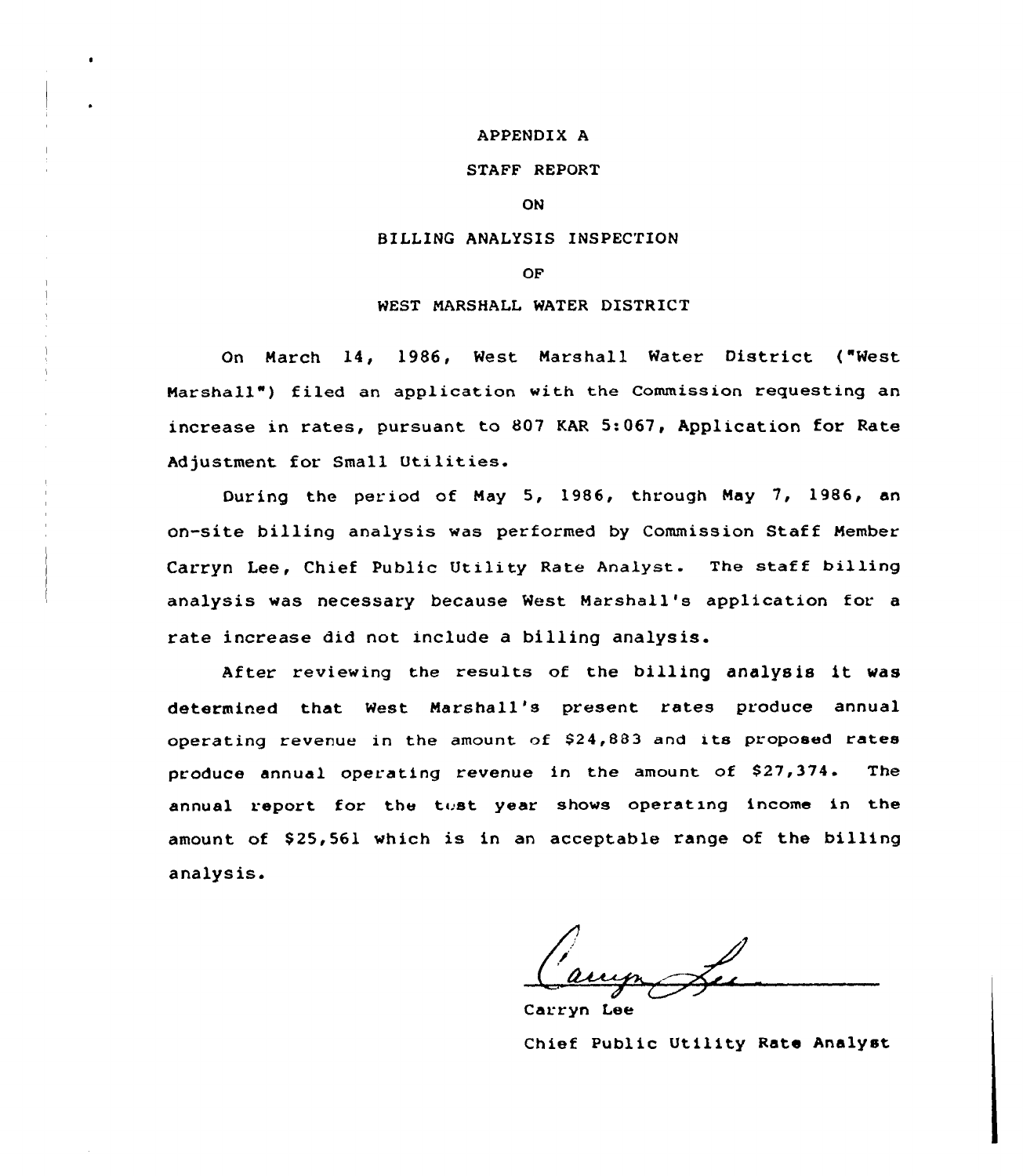#### APPENDIX A

## STAFF REPORT

#### ON

## BILLING ANALYSIS INSPECTION

## OF

## WEST MARSHALL WATER DISTRICT

On March 14, 1986, West Marshall Water District ("West Marshall") filed an application with the Commission requesting an increase in rates, pursuant to 807 KAR 5:067 Application for Rate Adjustment for Small Utilities.

During the period of May 5, 1986, through May 7, 1986, an on-site billing analysis was performed by Commission Staff Member Carryn Lee, Chief Public Utility Rate Analyst. The staff billing analysis was necessary because West Marshall's application for a rate increase did not include a billing analysis.

After reviewing the results of the billing analysis it was determined that West Marshall's present rates produce annual operating revenue in the amount of \$24,883 and its proposed rates produce annual operating revenue in the amount of \$27,374. The annual report for the test year shows operating income in the amount of \$25,561 which is in an acceptable range of the billing analys is.

Carryn Lee Chief Public Utility Rate Analyst